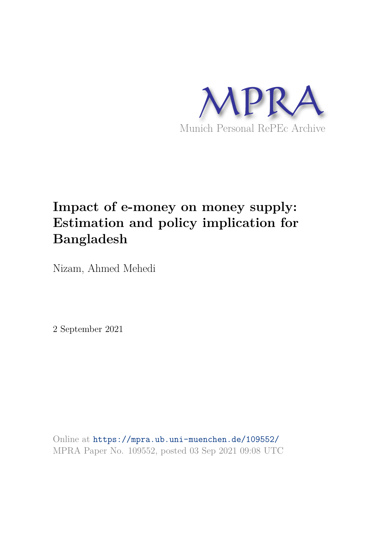

## **Impact of e-money on money supply: Estimation and policy implication for Bangladesh**

Nizam, Ahmed Mehedi

2 September 2021

Online at https://mpra.ub.uni-muenchen.de/109552/ MPRA Paper No. 109552, posted 03 Sep 2021 09:08 UTC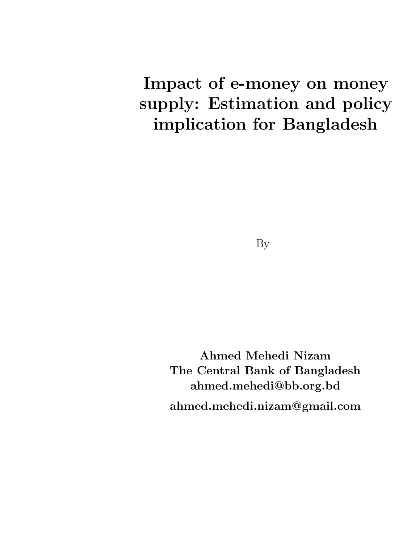# Impact of e-money on money supply: Estimation and policy implication for Bangladesh

Ahmed Mehedi Nizam The Central Bank of Bangladesh ahmed.mehedi@bb.org.bd ahmed.mehedi.nizam@gmail.com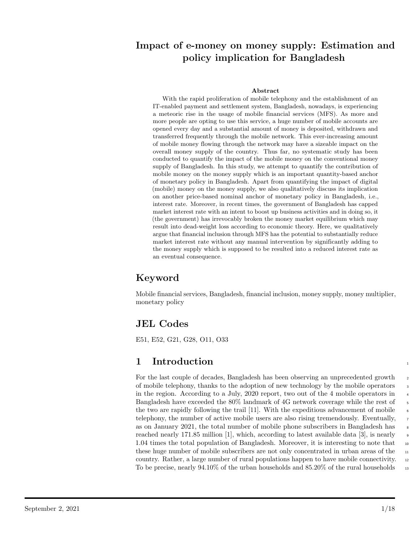### Impact of e-money on money supply: Estimation and policy implication for Bangladesh

#### Abstract

With the rapid proliferation of mobile telephony and the establishment of an IT-enabled payment and settlement system, Bangladesh, nowadays, is experiencing a meteoric rise in the usage of mobile financial services (MFS). As more and more people are opting to use this service, a huge number of mobile accounts are opened every day and a substantial amount of money is deposited, withdrawn and transferred frequently through the mobile network. This ever-increasing amount of mobile money flowing through the network may have a sizeable impact on the overall money supply of the country. Thus far, no systematic study has been conducted to quantify the impact of the mobile money on the conventional money supply of Bangladesh. In this study, we attempt to quantify the contribution of mobile money on the money supply which is an important quantity-based anchor of monetary policy in Bangladesh. Apart from quantifying the impact of digital (mobile) money on the money supply, we also qualitatively discuss its implication on another price-based nominal anchor of monetary policy in Bangladesh, i.e., interest rate. Moreover, in recent times, the government of Bangladesh has capped market interest rate with an intent to boost up business activities and in doing so, it (the government) has irrevocably broken the money market equilibrium which may result into dead-weight loss according to economic theory. Here, we qualitatively argue that financial inclusion through MFS has the potential to substantially reduce market interest rate without any manual intervention by significantly adding to the money supply which is supposed to be resulted into a reduced interest rate as an eventual consequence.

### Keyword

Mobile financial services, Bangladesh, financial inclusion, money supply, money multiplier, monetary policy

### JEL Codes

E51, E52, G21, G28, O11, O33

### 1 Introduction 1

For the last couple of decades, Bangladesh has been observing an unprecedented growth of mobile telephony, thanks to the adoption of new technology by the mobile operators 3 in the region. According to a July, 2020 report, two out of the 4 mobile operators in  $\frac{4}{4}$ Bangladesh have exceeded the 80% landmark of 4G network coverage while the rest of  $\frac{5}{5}$ the two are rapidly following the trail [11]. With the expeditious advancement of mobile  $\overline{6}$ telephony, the number of active mobile users are also rising tremendously. Eventually, <sup>7</sup> as on January 2021, the total number of mobile phone subscribers in Bangladesh has <sup>8</sup> reached nearly 171.85 million [1], which, according to latest available data [3], is nearly 1.04 times the total population of Bangladesh. Moreover, it is interesting to note that <sup>10</sup> these huge number of mobile subscribers are not only concentrated in urban areas of the  $\frac{1}{11}$ country. Rather, a large number of rural populations happen to have mobile connectivity. 12 To be precise, nearly  $94.10\%$  of the urban households and  $85.20\%$  of the rural households  $_{13}$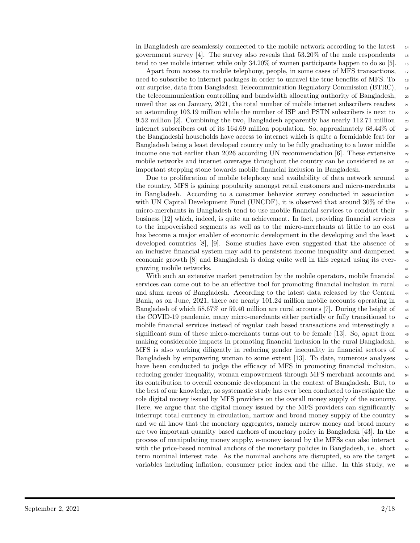in Bangladesh are seamlessly connected to the mobile network according to the latest <sup>14</sup> government survey [4]. The survey also reveals that  $53.20\%$  of the male respondents 15 tend to use mobile internet while only  $34.20\%$  of women participants happen to do so [5].  $_{16}$ 

Apart from access to mobile telephony, people, in some cases of MFS transactions, <sup>17</sup> need to subscribe to internet packages in order to unravel the true benefits of MFS. To 18 our surprise, data from Bangladesh Telecommunication Regulatory Commission (BTRC), <sup>19</sup> the telecommunication controlling and bandwidth allocating authority of Bangladesh, <sub>20</sub> unveil that as on January, 2021, the total number of mobile internet subscribers reaches  $_{21}$ an astounding 103.19 million while the number of ISP and PSTN subscribers is next to  $_{22}$ 9.52 million [2]. Combining the two, Bangladesh apparently has nearly 112.71 million 23 internet subscribers out of its 164.69 million population. So, approximately  $68.44\%$  of  $_{24}$ the Bangladeshi households have access to internet which is quite a formidable feat for  $\frac{1}{25}$ Bangladesh being a least developed country only to be fully graduating to a lower middle  $_{26}$ income one not earlier than 2026 according UN recommendation  $[6]$ . These extensive  $\frac{27}{27}$ mobile networks and internet coverages throughout the country can be considered as an 28 important stepping stone towards mobile financial inclusion in Bangladesh. <sup>29</sup>

Due to proliferation of mobile telephony and availability of data network around 30 the country, MFS is gaining popularity amongst retail customers and micro-merchants  $\frac{31}{21}$ in Bangladesh. According to a consumer behavior survey conducted in association  $\frac{32}{2}$ with UN Capital Development Fund (UNCDF), it is observed that around  $30\%$  of the  $\frac{33}{10}$ micro-merchants in Bangladesh tend to use mobile financial services to conduct their <sup>34</sup> business  $[12]$  which, indeed, is quite an achievement. In fact, providing financial services  $\frac{12}{35}$ to the impoverished segments as well as to the micro-merchants at little to no cost  $\frac{36}{100}$ has become a major enabler of economic development in the developing and the least  $\frac{37}{27}$ developed countries  $[8]$ ,  $[9]$ . Some studies have even suggested that the absence of  $\overline{\phantom{a}}$ an inclusive financial system may add to persistent income inequality and dampened <sup>39</sup> economic growth [8] and Bangladesh is doing quite well in this regard using its ever- <sup>40</sup> growing mobile networks.

With such an extensive market penetration by the mobile operators, mobile financial  $\frac{42}{42}$ services can come out to be an effective tool for promoting financial inclusion in rural  $_{43}$ and slum areas of Bangladesh. According to the latest data released by the Central <sup>44</sup> Bank, as on June, 2021, there are nearly 101.24 million mobile accounts operating in  $\epsilon$ Bangladesh of which 58.67% or 59.40 million are rural accounts [7]. During the height of  $\frac{46}{10}$ the COVID-19 pandemic, many micro-merchants either partially or fully transitioned to  $\frac{47}{47}$ mobile financial services instead of regular cash based transactions and interestingly a <sup>48</sup> significant sum of these micro-merchants turns out to be female [13]. So, apart from <sup>49</sup> making considerable impacts in promoting financial inclusion in the rural Bangladesh, so MFS is also working diligently in reducing gender inequality in financial sectors of  $\overline{51}$ Bangladesh by empowering woman to some extent [13]. To date, numerous analyses  $\frac{52}{2}$ have been conducted to judge the efficacy of MFS in promoting financial inclusion,  $\overline{5}$ reducing gender inequality, woman empowerment through MFS merchant accounts and  $_{54}$ its contribution to overall economic development in the context of Bangladesh. But, to  $\frac{55}{100}$ the best of our knowledge, no systematic study has ever been conducted to investigate the  $\frac{56}{56}$ role digital money issued by MFS providers on the overall money supply of the economy.  $57$ Here, we argue that the digital money issued by the MFS providers can significantly  $\frac{58}{10}$ interrupt total currency in circulation, narrow and broad money supply of the country 59 and we all know that the monetary aggregates, namely narrow money and broad money  $\sim$ are two important quantity based anchors of monetary policy in Bangladesh [43]. In the  $\epsilon_{61}$ process of manipulating money supply, e-money issued by the MFSs can also interact  $\epsilon_2$ with the price-based nominal anchors of the monetary policies in Bangladesh, i.e., short  $\epsilon$ term nominal interest rate. As the nominal anchors are disrupted, so are the target  $\epsilon$ variables including inflation, consumer price index and the alike. In this study, we  $\epsilon$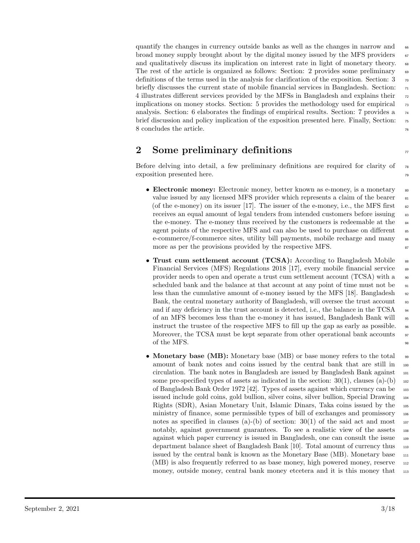quantify the changes in currency outside banks as well as the changes in narrow and  $\epsilon$ broad money supply brought about by the digital money issued by the MFS providers  $\sigma$ and qualitatively discuss its implication on interest rate in light of monetary theory.  $\epsilon$ The rest of the article is organized as follows: Section: 2 provides some preliminary  $\epsilon_{9}$ definitions of the terms used in the analysis for clarification of the exposition. Section:  $3\pi$ briefly discusses the current state of mobile financial services in Bangladesh. Section:  $\pi$ 4 illustrates different services provided by the MFSs in Bangladesh and explains their  $\frac{72}{2}$ implications on money stocks. Section: 5 provides the methodology used for empirical  $\frac{7}{2}$ analysis. Section: 6 elaborates the findings of empirical results. Section: 7 provides a  $_{74}$ brief discussion and policy implication of the exposition presented here. Finally, Section:  $\tau$ 8 concludes the article.

### 2 Some preliminary definitions  $\overline{7}$

Before delving into detail, a few preliminary definitions are required for clarity of  $\pi$ exposition presented here. The set of the set of the set of the set of the set of the set of the set of the set of the set of the set of the set of the set of the set of the set of the set of the set of the set of the set

- Electronic money: Electronic money, better known as e-money, is a monetary  $\frac{80}{100}$ value issued by any licensed MFS provider which represents a claim of the bearer  $81$ (of the e-money) on its issuer [17]. The issuer of the e-money, i.e., the MFS first  $\frac{82}{10}$ receives an equal amount of legal tenders from intended customers before issuing  $\frac{1}{3}$ the e-money. The e-money thus received by the customers is redeemable at the 84 agent points of the respective MFS and can also be used to purchase on different ss e-commerce/f-commerce sites, utility bill payments, mobile recharge and many  $\frac{86}{100}$ more as per the provisions provided by the respective MFS.
- Trust cum settlement account (TCSA): According to Bangladesh Mobile <sup>88</sup> Financial Services (MFS) Regulations 2018 [17], every mobile financial service <sup>89</sup> provider needs to open and operate a trust cum settlement account  $(TCSA)$  with a  $\Box$ scheduled bank and the balance at that account at any point of time must not be  $\frac{91}{100}$ less than the cumulative amount of e-money issued by the MFS [18]. Bangladesh  $_{92}$ Bank, the central monetary authority of Bangladesh, will oversee the trust account 93 and if any deficiency in the trust account is detected, i.e., the balance in the TCSA  $_{94}$ of an MFS becomes less than the e-money it has issued, Bangladesh Bank will <sup>95</sup> instruct the trustee of the respective MFS to fill up the gap as early as possible.  $\frac{1}{96}$ Moreover, the TCSA must be kept separate from other operational bank accounts  $\frac{97}{97}$ of the MFS.  $\frac{98}{25}$
- Monetary base (MB): Monetary base (MB) or base money refers to the total  $\Box$ amount of bank notes and coins issued by the central bank that are still in  $\frac{100}{200}$ circulation. The bank notes in Bangladesh are issued by Bangladesh Bank against <sup>101</sup> some pre-specified types of assets as indicated in the section:  $30(1)$ , clauses (a)-(b) 102 of Bangladesh Bank Order 1972 [42]. Types of assets against which currency can be <sup>103</sup> issued include gold coins, gold bullion, silver coins, silver bullion, Special Drawing <sup>104</sup> Rights (SDR), Asian Monetary Unit, Islamic Dinars, Taka coins issued by the <sup>105</sup> ministry of finance, some permissible types of bill of exchanges and promissory <sup>106</sup> notes as specified in clauses (a)-(b) of section:  $30(1)$  of the said act and most  $107$ notably, against government guarantees. To see a realistic view of the assets <sup>108</sup> against which paper currency is issued in Bangladesh, one can consult the issue <sup>109</sup> department balance sheet of Bangladesh Bank [10]. Total amount of currency thus <sup>110</sup> issued by the central bank is known as the Monetary Base (MB). Monetary base <sup>111</sup> (MB) is also frequently referred to as base money, high powered money, reserve  $_{112}$ money, outside money, central bank money etcetera and it is this money that 113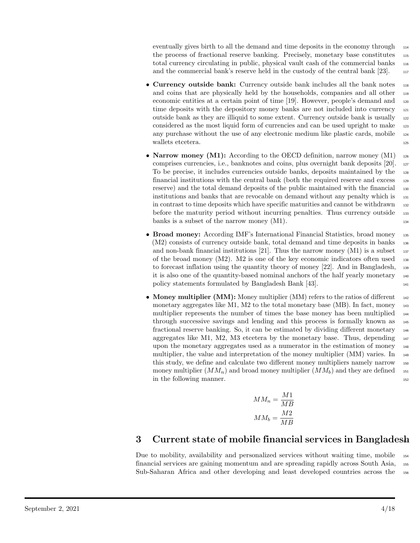eventually gives birth to all the demand and time deposits in the economy through  $_{114}$ the process of fractional reserve banking. Precisely, monetary base constitutes <sup>115</sup> total currency circulating in public, physical vault cash of the commercial banks <sup>116</sup> and the commercial bank's reserve held in the custody of the central bank [23]. 117

- Currency outside bank: Currency outside bank includes all the bank notes 118 and coins that are physically held by the households, companies and all other  $_{119}$ economic entities at a certain point of time [19]. However, people's demand and <sub>120</sub> time deposits with the depository money banks are not included into currency 121 outside bank as they are illiquid to some extent. Currency outside bank is usually <sup>122</sup> considered as the most liquid form of currencies and can be used upright to make <sup>123</sup> any purchase without the use of any electronic medium like plastic cards, mobile <sup>124</sup> wallets etcetera. 125
- Narrow money (M1): According to the OECD definition, narrow money (M1)  $_{126}$ comprises currencies, i.e., banknotes and coins, plus overnight bank deposits [20]. <sup>127</sup> To be precise, it includes currencies outside banks, deposits maintained by the <sup>128</sup> financial institutions with the central bank (both the required reserve and excess <sup>129</sup> reserve) and the total demand deposits of the public maintained with the financial 130 institutions and banks that are revocable on demand without any penalty which is 131 in contrast to time deposits which have specific maturities and cannot be withdrawn 132 before the maturity period without incurring penalties. Thus currency outside 133 banks is a subset of the narrow money  $(M1)$ .
- Broad money: According IMF's International Financial Statistics, broad money 135 (M2) consists of currency outside bank, total demand and time deposits in banks <sup>136</sup> and non-bank financial institutions [21]. Thus the narrow money  $(M1)$  is a subset 137 of the broad money  $(M2)$ . M2 is one of the key economic indicators often used  $_{138}$ to forecast inflation using the quantity theory of money [22]. And in Bangladesh, <sup>139</sup> it is also one of the quantity-based nominal anchors of the half yearly monetary <sup>140</sup> policy statements formulated by Bangladesh Bank [43].
- Money multiplier (MM): Money multiplier (MM) refers to the ratios of different  $_{142}$ monetary aggregates like M1, M2 to the total monetary base (MB). In fact, money  $_{143}$ multiplier represents the number of times the base money has been multiplied  $_{144}$ through successive savings and lending and this process is formally known as <sup>145</sup> fractional reserve banking. So, it can be estimated by dividing different monetary <sup>146</sup> aggregates like M1, M2, M3 etcetera by the monetary base. Thus, depending  $_{147}$ upon the monetary aggregates used as a numerator in the estimation of money <sup>148</sup> multiplier, the value and interpretation of the money multiplier (MM) varies. In <sup>149</sup> this study, we define and calculate two different money multipliers namely narrow <sup>150</sup> money multiplier  $(MM_n)$  and broad money multiplier  $(MM_b)$  and they are defined 151 in the following manner.

$$
MM_n = \frac{M1}{MB}
$$

$$
MM_b = \frac{M2}{MB}
$$

### 3 Current state of mobile financial services in Bangladesh

Due to mobility, availability and personalized services without waiting time, mobile <sup>154</sup> financial services are gaining momentum and are spreading rapidly across South Asia, <sup>155</sup> Sub-Saharan Africa and other developing and least developed countries across the <sup>156</sup>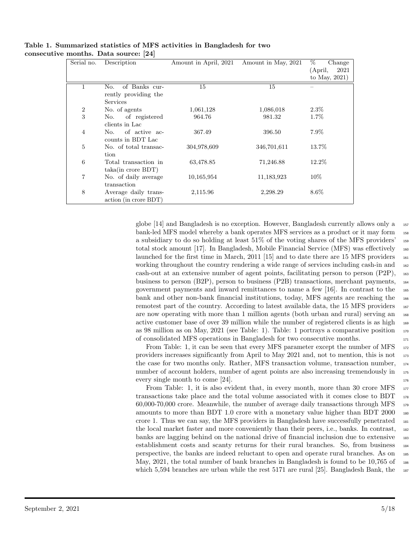| Serial no.     | Description           | Amount in April, 2021 | Amount in May, 2021 | %<br>Change      |
|----------------|-----------------------|-----------------------|---------------------|------------------|
|                |                       |                       |                     | 2021<br>(April,  |
|                |                       |                       |                     | to May, $2021$ ) |
|                | of Banks cur-<br>No.  | 15                    | 15                  |                  |
|                | rently providing the  |                       |                     |                  |
|                | Services              |                       |                     |                  |
| $\overline{2}$ | No. of agents         | 1,061,128             | 1,086,018           | $2.3\%$          |
| 3              | No. of registered     | 964.76                | 981.32              | 1.7%             |
|                | clients in Lac        |                       |                     |                  |
| $\overline{4}$ | of active ac-<br>No.  | 367.49                | 396.50              | 7.9%             |
|                | counts in BDT Lac     |                       |                     |                  |
| 5              | No. of total transac- | 304,978,609           | 346,701,611         | 13.7%            |
|                | tion                  |                       |                     |                  |
| 6              | Total transaction in  | 63,478.85             | 71,246.88           | 12.2\%           |
|                | $taka(in\;core\;BDT)$ |                       |                     |                  |
| 7              | No. of daily average  | 10,165,954            | 11,183,923          | $10\%$           |
|                | transaction           |                       |                     |                  |
| 8              | Average daily trans-  | 2,115.96              | 2,298.29            | $8.6\%$          |
|                | action (in crore BDT) |                       |                     |                  |

#### Table 1. Summarized statistics of MFS activities in Bangladesh for two consecutive months. Data source: [24]

globe [14] and Bangladesh is no exception. However, Bangladesh currently allows only a <sup>157</sup> bank-led MFS model whereby a bank operates MFS services as a product or it may form 158 a subsidiary to do so holding at least 51% of the voting shares of the MFS providers' <sup>159</sup> total stock amount [17]. In Bangladesh, Mobile Financial Service (MFS) was effectively 160 launched for the first time in March, 2011 [15] and to date there are 15 MFS providers  $_{161}$ working throughout the country rendering a wide range of services including cash-in and  $_{162}$ cash-out at an extensive number of agent points, facilitating person to person (P2P), <sup>163</sup> business to person (B2P), person to business (P2B) transactions, merchant payments, <sup>164</sup> government payments and inward remittances to name a few [16]. In contrast to the <sup>165</sup> bank and other non-bank financial institutions, today, MFS agents are reaching the <sup>166</sup> remotest part of the country. According to latest available data, the 15 MFS providers  $_{167}$ are now operating with more than 1 million agents (both urban and rural) serving an <sup>168</sup> active customer base of over 39 million while the number of registered clients is as high  $_{169}$ as 98 million as on May, 2021 (see Table: 1). Table: 1 portrays a comparative position  $\frac{170}{20}$ of consolidated MFS operations in Bangladesh for two consecutive months. <sup>171</sup>

From Table: 1, it can be seen that every MFS parameter except the number of MFS 172 providers increases significantly from April to May 2021 and, not to mention, this is not  $\frac{173}{173}$ the case for two months only. Rather, MFS transaction volume, transaction number, <sup>174</sup> number of account holders, number of agent points are also increasing tremendously in  $_{175}$ every single month to come  $[24]$ .

From Table: 1, it is also evident that, in every month, more than 30 crore MFS  $_{177}$ transactions take place and the total volume associated with it comes close to BDT  $_{178}$  $60,000-70,000$  crore. Meanwhile, the number of average daily transactions through MFS  $_{179}$ amounts to more than BDT 1.0 crore with a monetary value higher than BDT 2000 180 crore 1. Thus we can say, the MFS providers in Bangladesh have successfully penetrated <sup>181</sup> the local market faster and more conveniently than their peers, i.e., banks. In contrast, <sup>182</sup> banks are lagging behind on the national drive of financial inclusion due to extensive <sup>183</sup> establishment costs and scanty returns for their rural branches. So, from business <sup>184</sup> perspective, the banks are indeed reluctant to open and operate rural branches. As on <sup>185</sup> May, 2021, the total number of bank branches in Bangladesh is found to be 10.765 of 186 which 5,594 branches are urban while the rest 5171 are rural [25]. Bangladesh Bank, the  $_{187}$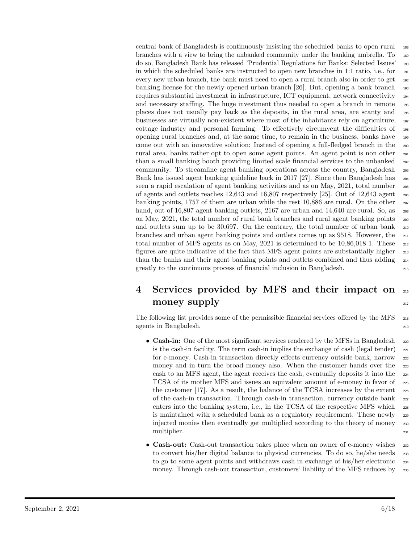central bank of Bangladesh is continuously insisting the scheduled banks to open rural <sup>188</sup> branches with a view to bring the unbanked community under the banking umbrella. To 189 do so, Bangladesh Bank has released 'Prudential Regulations for Banks: Selected Issues' <sup>190</sup> in which the scheduled banks are instructed to open new branches in 1:1 ratio, i.e., for <sup>191</sup> every new urban branch, the bank must need to open a rural branch also in order to get  $_{192}$ banking license for the newly opened urban branch [26]. But, opening a bank branch <sup>193</sup> requires substantial investment in infrastructure, ICT equipment, network connectivity <sup>194</sup> and necessary staffing. The huge investment thus needed to open a branch in remote 195 places does not usually pay back as the deposits, in the rural area, are scanty and <sup>196</sup> businesses are virtually non-existent where most of the inhabitants rely on agriculture, <sup>197</sup> cottage industry and personal farming. To effectively circumvent the difficulties of <sup>198</sup> opening rural branches and, at the same time, to remain in the business, banks have <sup>199</sup> come out with an innovative solution: Instead of opening a full-fledged branch in the <sup>200</sup> rural area, banks rather opt to open some agent points. An agent point is non other <sub>201</sub> than a small banking booth providing limited scale financial services to the unbanked  $_{202}$ community. To streamline agent banking operations across the country, Bangladesh <sup>203</sup> Bank has issued agent banking guideline back in 2017 [27]. Since then Bangladesh has  $_{204}$ seen a rapid escalation of agent banking activities and as on May, 2021, total number <sup>205</sup> of agents and outlets reaches  $12,643$  and  $16,807$  respectively [25]. Out of  $12,643$  agent  $_{206}$ banking points, 1757 of them are urban while the rest  $10,886$  are rural. On the other  $_{207}$ hand, out of 16,807 agent banking outlets, 2167 are urban and 14,640 are rural. So, as  $_{208}$ on May, 2021, the total number of rural bank branches and rural agent banking points <sup>209</sup> and outlets sum up to be 30,697. On the contrary, the total number of urban bank  $_{210}$ branches and urban agent banking points and outlets comes up as 9518. However, the <sup>211</sup> total number of MFS agents as on May, 2021 is determined to be  $10,86,018$  1. These  $_{212}$ figures are quite indicative of the fact that MFS agent points are substantially higher <sup>213</sup> than the banks and their agent banking points and outlets combined and thus adding <sup>214</sup> greatly to the continuous process of financial inclusion in Bangladesh. <sup>215</sup>

### 4 Services provided by MFS and their impact on <sup>216</sup>  $\mathbf{money}$  supply  $\sum_{217}$

The following list provides some of the permissible financial services offered by the MFS <sub>218</sub> agents in Bangladesh.

- Cash-in: One of the most significant services rendered by the MFSs in Bangladesh <sub>220</sub> is the cash-in facility. The term cash-in implies the exchange of cash (legal tender)  $_{221}$ for e-money. Cash-in transaction directly effects currency outside bank, narrow <sup>222</sup> money and in turn the broad money also. When the customer hands over the 223 cash to an MFS agent, the agent receives the cash, eventually deposits it into the <sup>224</sup> TCSA of its mother MFS and issues an equivalent amount of e-money in favor of <sup>225</sup> the customer  $[17]$ . As a result, the balance of the TCSA increases by the extent  $\frac{226}{2}$ of the cash-in transaction. Through cash-in transaction, currency outside bank <sup>227</sup> enters into the banking system, i.e., in the TCSA of the respective MFS which  $_{228}$ is maintained with a scheduled bank as a regulatory requirement. These newly <sup>229</sup> injected monies then eventually get multiplied according to the theory of money <sup>230</sup> multiplier. 231
- Cash-out: Cash-out transaction takes place when an owner of e-money wishes 232 to convert his/her digital balance to physical currencies. To do so, he/she needs  $_{233}$ to go to some agent points and withdraws cash in exchange of his/her electronic <sup>234</sup> money. Through cash-out transaction, customers' liability of the MFS reduces by <sup>235</sup>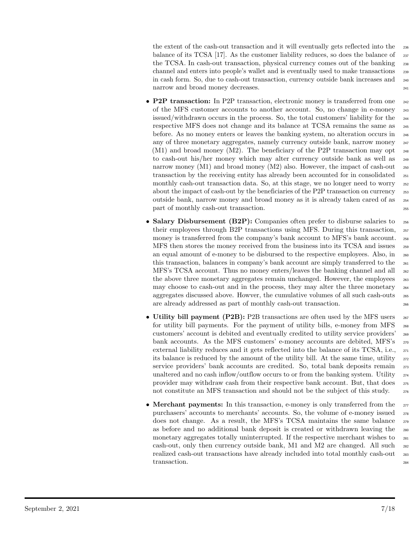the extent of the cash-out transaction and it will eventually gets reflected into the <sup>236</sup> balance of its TCSA [17]. As the customer liability reduces, so does the balance of 237 the TCSA. In cash-out transaction, physical currency comes out of the banking 238 channel and enters into people's wallet and is eventually used to make transactions <sup>239</sup> in cash form. So, due to cash-out transaction, currency outside bank increases and <sup>240</sup> narrow and broad money decreases. 241

- **P2P transaction:** In P2P transaction, electronic money is transferred from one 242 of the MFS customer accounts to another account. So, no change in e-money <sup>243</sup> issued/withdrawn occurs in the process. So, the total customers' liability for the <sup>244</sup> respective MFS does not change and its balance at TCSA remains the same as <sup>245</sup> before. As no money enters or leaves the banking system, no alteration occurs in <sup>246</sup> any of three monetary aggregates, namely currency outside bank, narrow money <sup>247</sup> (M1) and broad money (M2). The beneficiary of the P2P transaction may opt <sup>248</sup> to cash-out his/her money which may alter currency outside bank as well as <sup>249</sup> narrow money (M1) and broad money (M2) also. However, the impact of cash-out  $_{250}$ transaction by the receiving entity has already been accounted for in consolidated <sup>251</sup> monthly cash-out transaction data. So, at this stage, we no longer need to worry 252 about the impact of cash-out by the beneficiaries of the P2P transaction on currency <sup>253</sup> outside bank, narrow money and broad money as it is already taken cared of as <sup>254</sup> part of monthly cash-out transaction.
- Salary Disbursement (B2P): Companies often prefer to disburse salaries to 256 their employees through B2P transactions using MFS. During this transaction, <sup>257</sup> money is transferred from the company's bank account to MFS's bank account. <sup>258</sup> MFS then stores the money received from the business into its TCSA and issues <sup>259</sup> an equal amount of e-money to be disbursed to the respective employees. Also, in <sup>260</sup> this transaction, balances in company's bank account are simply transferred to the <sup>261</sup> MFS's TCSA account. Thus no money enters/leaves the banking channel and all  $_{262}$ the above three monetary aggregates remain unchanged. However, the employees  $_{263}$ may choose to cash-out and in the process, they may alter the three monetary <sup>264</sup> aggregates discussed above. Howver, the cumulative volumes of all such cash-outs <sup>265</sup> are already addressed as part of monthly cash-out transaction. <sup>266</sup>
- Utility bill payment (P2B): P2B transactions are often used by the MFS users  $_{267}$ for utility bill payments. For the payment of utility bills, e-money from MFS <sup>268</sup> customers' account is debited and eventually credited to utility service providers' <sup>269</sup> bank accounts. As the MFS customers' e-money accounts are debited, MFS's <sup>270</sup> external liability reduces and it gets reflected into the balance of its TCSA, i.e., 271 its balance is reduced by the amount of the utility bill. At the same time, utility  $272$ service providers' bank accounts are credited. So, total bank deposits remain  $273$ unaltered and no cash inflow/outflow occurs to or from the banking system. Utility  $_{274}$ provider may withdraw cash from their respective bank account. But, that does <sup>275</sup> not constitute an MFS transaction and should not be the subject of this study. 276
- Merchant payments: In this transaction, e-money is only transferred from the 277 purchasers' accounts to merchants' accounts. So, the volume of e-money issued <sup>278</sup> does not change. As a result, the MFS's TCSA maintains the same balance <sup>279</sup> as before and no additional bank deposit is created or withdrawn leaving the <sup>280</sup> monetary aggregates totally uninterrupted. If the respective merchant wishes to <sup>281</sup> cash-out, only then currency outside bank, M1 and M2 are changed. All such <sup>282</sup> realized cash-out transactions have already included into total monthly cash-out 283 transaction. 284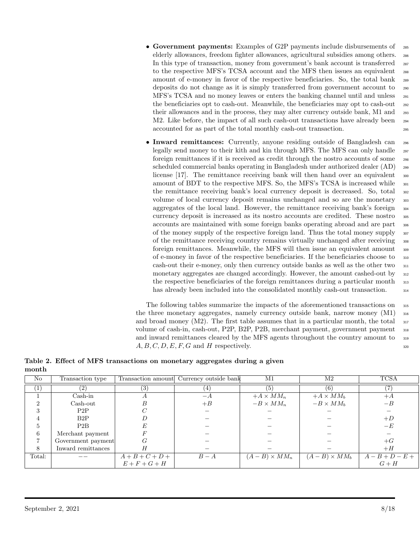- Government payments: Examples of G2P payments include disbursements of 285 elderly allowances, freedom fighter allowances, agricultural subsidies among others. <sup>286</sup> In this type of transaction, money from government's bank account is transferred <sub>287</sub> to the respective MFS's TCSA account and the MFS then issues an equivalent 288 amount of e-money in favor of the respective beneficiaries. So, the total bank <sup>289</sup> deposits do not change as it is simply transferred from government account to <sup>290</sup> MFS's TCSA and no money leaves or enters the banking channel until and unless <sup>291</sup> the beneficiaries opt to cash-out. Meanwhile, the beneficiaries may opt to cash-out <sup>292</sup> their allowances and in the process, they may alter currency outside bank, M1 and <sup>293</sup> M2. Like before, the impact of all such cash-out transactions have already been  $_{294}$ accounted for as part of the total monthly cash-out transaction. <sup>295</sup>
- Inward remittances: Currently, anyone residing outside of Bangladesh can 296 legally send money to their kith and kin through MFS. The MFS can only handle 297 foreign remittances if it is received as credit through the nostro accounts of some <sup>298</sup> scheduled commercial banks operating in Bangladesh under authorized dealer (AD) <sup>299</sup> license [17]. The remittance receiving bank will then hand over an equivalent <sub>300</sub> amount of BDT to the respective MFS. So, the MFS's TCSA is increased while  $_{301}$ the remittance receiving bank's local currency deposit is decreased. So, total  $\frac{302}{100}$ volume of local currency deposit remains unchanged and so are the monetary <sup>303</sup> aggregates of the local land. However, the remittance receiving bank's foreign  $_{304}$ currency deposit is increased as its nostro accounts are credited. These nostro <sup>305</sup> accounts are maintained with some foreign banks operating abroad and are part <sup>306</sup> of the money supply of the respective foreign land. Thus the total money supply <sup>307</sup> of the remittance receiving country remains virtually unchanged after receiving <sup>308</sup> foreign remittances. Meanwhile, the MFS will then issue an equivalent amount  $\frac{309}{200}$ of e-money in favor of the respective beneficiaries. If the beneficiaries choose to <sup>310</sup> cash-out their e-money, only then currency outside banks as well as the other two <sup>311</sup> monetary aggregates are changed accordingly. However, the amount cashed-out by <sup>312</sup> the respective beneficiaries of the foreign remittances during a particular month  $\frac{313}{2}$ has already been included into the consolidated monthly cash-out transaction.  $\frac{314}{2}$

The following tables summarize the impacts of the aforementioned transactions on <sup>315</sup> the three monetary aggregates, namely currency outside bank, narrow money  $(M1)$  <sub>316</sub> and broad money  $(M2)$ . The first table assumes that in a particular month, the total  $\frac{317}{212}$ volume of cash-in, cash-out, P2P, B2P, P2B, merchant payment, government payment <sup>318</sup> and inward remittances cleared by the MFS agents throughout the country amount to <sup>319</sup>  $A, B, C, D, E, F, G$  and H respectively.

Table 2. Effect of MFS transactions on monetary aggregates during a given month

| N <sub>o</sub> | Transaction type          |                   | Transaction amount Currency outside bank | M1                    | M2                    | <b>TCSA</b>            |
|----------------|---------------------------|-------------------|------------------------------------------|-----------------------|-----------------------|------------------------|
| $\pm$          |                           | (3)               | $\pm$                                    | (5)                   | (6)                   |                        |
|                | $Cash-in$                 |                   | $-A$                                     | $+A \times MM_n$      | $+A \times MM_b$      | $+A$                   |
| ച              | $\operatorname{Cash-out}$ | В                 | $+ B$                                    | $-B \times MM_n$      | $-B \times MM_h$      | $-B$                   |
| 3              | P2P                       |                   |                                          |                       |                       |                        |
|                | B2P                       |                   |                                          |                       |                       | $+D$                   |
| 5              | P2B                       |                   |                                          |                       |                       | $-E$                   |
| 6              | Merchant payment          |                   |                                          |                       |                       |                        |
|                | Government payment        | G                 |                                          |                       |                       | $+G$                   |
| 8              | Inward remittances        |                   |                                          |                       |                       | $+H$                   |
| Total:         |                           | $A + B + C + D +$ | $B-A$                                    | $(A - B) \times MM_n$ | $(A - B) \times MM_b$ | $\frac{A-B+D-E+}{G+H}$ |
|                |                           | $E + F + G + H$   |                                          |                       |                       |                        |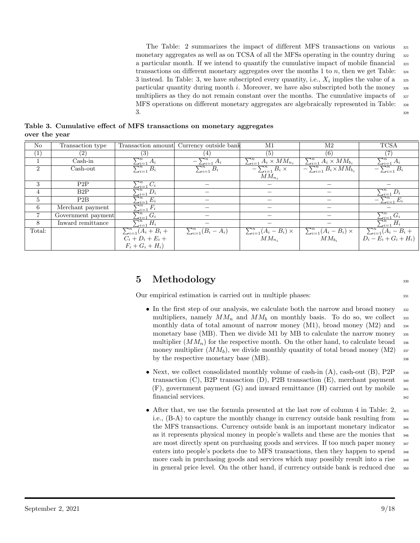The Table: 2 summarizes the impact of different MFS transactions on various  $\frac{321}{221}$ monetary aggregates as well as on TCSA of all the MFSs operating in the country during  $\frac{322}{2}$ a particular month. If we intend to quantify the cumulative impact of mobile financial  $\frac{323}{223}$ transactions on different monetary aggregates over the months 1 to  $n$ , then we get Table:  $\frac{324}{2}$ 3 instead. In Table: 3, we have subscripted every quantity, i.e.,  $X_i$  implies the value of a  $\frac{1}{25}$ particular quantity during month i. Moreover, we have also subscripted both the money  $\frac{326}{2}$ multipliers as they do not remain constant over the months. The cumulative impacts of  $\frac{327}{2}$ MFS operations on different monetary aggregates are algebraically represented in Table: <sup>328</sup>  $3.93$ 

Table 3. Cumulative effect of MFS transactions on monetary aggregates over the year

| $\rm No$         | Transaction type          | Transaction amount                                | Currency outside bank      | M1                                               | M2                                                                               | <b>TCSA</b>                                                         |
|------------------|---------------------------|---------------------------------------------------|----------------------------|--------------------------------------------------|----------------------------------------------------------------------------------|---------------------------------------------------------------------|
| $\overline{(1)}$ | (2)                       | (3)                                               | $\left 4\right\rangle$     | (5)                                              | (6)                                                                              |                                                                     |
|                  | $Cash-in$                 | $\frac{\sum_{i=1}^{n} A_i}{\sum_{i=1}^{n} B_i}$   | $-\sum_{i=1}^n A_i$        | $\sum_{i=1}^{n} A_i \times MM_{n_i}$             | $\frac{\sum_{i=1}^{n} A_i \times MM_{b_i}}{-\sum_{i=1}^{n} B_i \times MM_{b_i}}$ | $\sum_{i=1}^n A_i$                                                  |
| $\overline{2}$   | $\operatorname{Cash-out}$ |                                                   | $\sum_{i=1}^n B_i$         | $-\sum_{i=1}^n B_i \times$                       |                                                                                  | $-\overline{\sum_{i=1}^{n}B_i}$                                     |
|                  |                           |                                                   |                            | $MM_{n_i}$                                       |                                                                                  |                                                                     |
| 3                | P2P                       |                                                   |                            |                                                  |                                                                                  |                                                                     |
| $\overline{4}$   | B2P                       | $\frac{\sum_{i=1}^{n} C_i}{\sum_{i=1}^{n} D_i}$   |                            |                                                  |                                                                                  | $\sum_{i=1}$                                                        |
| 5                | P2B                       | $\frac{\sum_{i=1}^{i-1} E_i}{\sum_{i=1}^{n} F_i}$ |                            |                                                  |                                                                                  | $-\sum_{i=1}^n E_i$                                                 |
| 6                | Merchant payment          |                                                   |                            |                                                  |                                                                                  |                                                                     |
|                  | Government payment        | $\sum_{i=1}^n G_i$                                |                            |                                                  |                                                                                  | $\sum_{i=1}^n G_i$                                                  |
| 8                | Inward remittance         | $\sum_{i=1}^n H_i$                                |                            |                                                  |                                                                                  | $\sum_{i=1}^n H_i$                                                  |
| Total:           |                           | $\sum_{i=1}^n (A_i + B_i +$                       | $\sum_{i=1}^n (B_i - A_i)$ | $\frac{\sum_{i=1}^{n}(A_i-B_i)}{MM_{n_i}}\times$ | $\frac{\sum_{i=1}^{n}(A_i-B_i)\times}{MM_{b_i}}$                                 | $\frac{\sum_{i=1}^{n}(A_{i}-B_{i}+B_{i})}{D_{i}-E_{i}+G_{i}+H_{i}}$ |
|                  |                           | $C_i + D_i + E_i +$                               |                            |                                                  |                                                                                  |                                                                     |
|                  |                           | $F_i + G_i + H_i$                                 |                            |                                                  |                                                                                  |                                                                     |

### $5$  Methodology  $330$

Our empirical estimation is carried out in multiple phases:  $\frac{331}{331}$ 

- In the first step of our analysis, we calculate both the narrow and broad money 332 multipliers, namely  $MM_n$  and  $MM_b$  on monthly basis. To do so, we collect 333 monthly data of total amount of narrow money  $(M1)$ , broad money  $(M2)$  and  $334$ monetary base (MB). Then we divide M1 by MB to calculate the narrow money 335 multiplier  $(MM_n)$  for the respective month. On the other hand, to calculate broad  $\frac{336}{4}$ money multiplier  $(MM_b)$ , we divide monthly quantity of total broad money  $(M2)$  337 by the respective monetary base  $(MB)$ .  $338$
- Next, we collect consolidated monthly volume of cash-in  $(A)$ , cash-out  $(B)$ , P2P  $\,$  339 transaction  $(C)$ , B2P transaction  $(D)$ , P2B transaction  $(E)$ , merchant payment  $\frac{340}{2}$  $(F)$ , government payment  $(G)$  and inward remittance  $(H)$  carried out by mobile  $\frac{341}{2}$ financial services.  $\frac{342}{2}$
- After that, we use the formula presented at the last row of column 4 in Table: 2,  $\frac{343}{2}$ i.e., (B-A) to capture the monthly change in currency outside bank resulting from <sup>344</sup> the MFS transactions. Currency outside bank is an important monetary indicator  $\frac{345}{2}$ as it represents physical money in people's wallets and these are the monies that <sup>346</sup> are most directly spent on purchasing goods and services. If too much paper money  $\frac{347}{2}$ enters into people's pockets due to MFS transactions, then they happen to spend <sup>348</sup> more cash in purchasing goods and services which may possibly result into a rise <sup>349</sup> in general price level. On the other hand, if currency outside bank is reduced due  $\frac{350}{2}$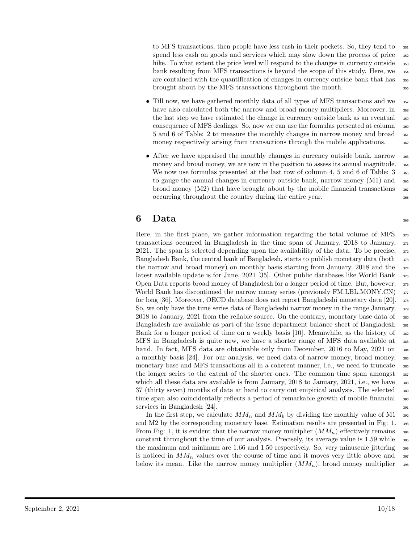to MFS transactions, then people have less cash in their pockets. So, they tend to  $\frac{351}{351}$ spend less cash on goods and services which may slow down the process of price 352 hike. To what extent the price level will respond to the changes in currency outside  $\frac{353}{100}$ bank resulting from MFS transactions is beyond the scope of this study. Here, we <sup>354</sup> are contained with the quantification of changes in currency outside bank that has  $\frac{355}{100}$ brought about by the MFS transactions throughout the month. <sup>356</sup>

- Till now, we have gathered monthly data of all types of MFS transactions and we  $\frac{357}{2}$ have also calculated both the narrow and broad money multipliers. Moreover, in  $\frac{358}{100}$ the last step we have estimated the change in currency outside bank as an eventual  $\frac{359}{2}$ consequence of MFS dealings. So, now we can use the formulas presented at column <sup>360</sup> 5 and 6 of Table: 2 to measure the monthly changes in narrow money and broad <sup>361</sup> money respectively arising from transactions through the mobile applications.  $\frac{362}{200}$
- After we have appraised the monthly changes in currency outside bank, narrow 363 money and broad money, we are now in the position to assess its annual magnitude.  $\frac{364}{4}$ We now use formulas presented at the last row of column 4, 5 and 6 of Table:  $3<sub>565</sub>$ to gauge the annual changes in currency outside bank, narrow money  $(M1)$  and  $_{366}$ broad money  $(M2)$  that have brought about by the mobile financial transactions  $\frac{367}{20}$ occurring throughout the country during the entire year. <sup>368</sup>

### $\mathbf{6}$  Data  $_{369}$

Here, in the first place, we gather information regarding the total volume of MFS  $\frac{370}{20}$ transactions occurred in Bangladesh in the time span of January, 2018 to January, <sup>371</sup> 2021. The span is selected depending upon the availability of the data. To be precise,  $\frac{372}{20}$ Bangladesh Bank, the central bank of Bangladesh, starts to publish monetary data (both  $\frac{373}{2}$ the narrow and broad money) on monthly basis starting from January, 2018 and the  $\frac{374}{2}$ latest available update is for June, 2021 [35]. Other public databases like World Bank  $\frac{375}{2}$ Open Data reports broad money of Bangladesh for a longer period of time. But, however, <sup>376</sup> World Bank has discontinued the narrow money series (previously FM.LBL.MONY.CN)  $_{377}$ for long [36]. Moreover, OECD database does not report Bangladeshi monetary data [20]. <sup>378</sup> So, we only have the time series data of Bangladeshi narrow money in the range January, <sup>379</sup> 2018 to January, 2021 from the reliable source. On the contrary, monetary base data of <sup>380</sup> Bangladesh are available as part of the issue department balance sheet of Bangladesh  $\frac{381}{20}$ Bank for a longer period of time on a weekly basis  $[10]$ . Meanwhile, as the history of  $\frac{382}{2}$ MFS in Bangladesh is quite new, we have a shorter range of MFS data available at  $\frac{383}{100}$ hand. In fact, MFS data are obtainable only from December, 2016 to May, 2021 on  $\frac{384}{20}$ a monthly basis [24]. For our analysis, we need data of narrow money, broad money, <sup>385</sup> monetary base and MFS transactions all in a coherent manner, i.e., we need to truncate  $\frac{386}{100}$ the longer series to the extent of the shorter ones. The common time span amongst 387 which all these data are available is from January,  $2018$  to January,  $2021$ , i.e., we have  $\frac{1}{388}$ 37 (thirty seven) months of data at hand to carry out empirical analysis. The selected <sup>389</sup> time span also coincidentally reflects a period of remarkable growth of mobile financial  $\frac{390}{2}$ services in Bangladesh  $[24]$ .

In the first step, we calculate  $MM_n$  and  $MM_b$  by dividing the monthly value of M1  $_{392}$ and M2 by the corresponding monetary base. Estimation results are presented in Fig: 1. 393 From Fig: 1, it is evident that the narrow money multiplier  $(MM_n)$  effectively remains  $\frac{394}{2}$ constant throughout the time of our analysis. Precisely, its average value is  $1.59$  while  $\frac{395}{2}$ the maximum and minimum are 1.66 and 1.50 respectively. So, very minuscule jittering  $\frac{396}{2}$ is noticed in  $MM_n$  values over the course of time and it moves very little above and  $\frac{397}{97}$ below its mean. Like the narrow money multiplier  $(MM_n)$ , broad money multiplier  $\frac{398}{2}$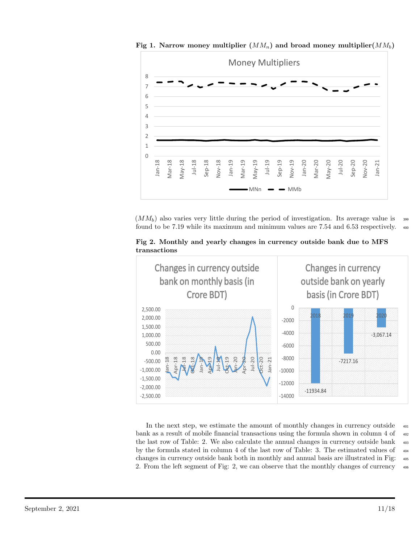0 1 2 3 4 5 6 7 8 Jan-18 Mar-18 May-18 Jul-18 Sep-18 Nov-18 Jan-19 Mar-19 May-19 Jul-19 Sep-19 Nov-19 Jan-20 Mar-20 May-20 Jul-20 Sep-20 Nov-20 Jan-21 Money Multipliers  $M$ N $\sim$   $\sim$  MMb

Fig 1. Narrow money multiplier  $(MM_n)$  and broad money multiplier  $(MM_b)$ 

 $(MM_b)$  also varies very little during the period of investigation. Its average value is  $\frac{399}{2}$ found to be 7.19 while its maximum and minimum values are 7.54 and 6.53 respectively. <sup>400</sup>

Fig 2. Monthly and yearly changes in currency outside bank due to MFS transactions



In the next step, we estimate the amount of monthly changes in currency outside  $\frac{401}{401}$ bank as a result of mobile financial transactions using the formula shown in column 4 of  $\frac{402}{402}$ the last row of Table: 2. We also calculate the annual changes in currency outside bank  $_{403}$ by the formula stated in column 4 of the last row of Table: 3. The estimated values of  $\frac{404}{404}$ changes in currency outside bank both in monthly and annual basis are illustrated in Fig: <sup>405</sup> 2. From the left segment of Fig: 2, we can observe that the monthly changes of currency <sup>406</sup>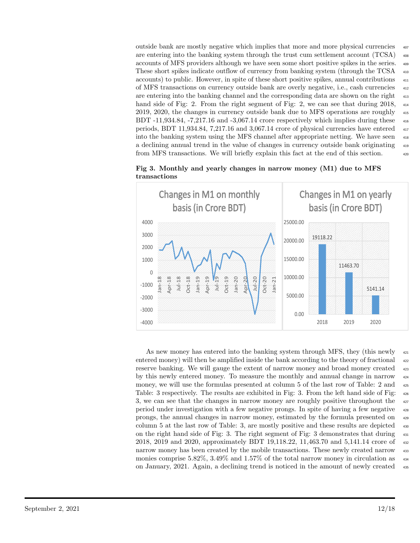outside bank are mostly negative which implies that more and more physical currencies <sup>407</sup> are entering into the banking system through the trust cum settlement account  $(TCSA)$   $_{408}$ accounts of MFS providers although we have seen some short positive spikes in the series. <sup>409</sup> These short spikes indicate outflow of currency from banking system (through the TCSA <sup>410</sup> accounts) to public. However, in spite of these short positive spikes, annual contributions <sup>411</sup> of MFS transactions on currency outside bank are overly negative, i.e., cash currencies <sup>412</sup> are entering into the banking channel and the corresponding data are shown on the right  $\frac{413}{413}$ hand side of Fig: 2. From the right segment of Fig: 2, we can see that during 2018,  $\frac{414}{2}$ 2019, 2020, the changes in currency outside bank due to MFS operations are roughly  $_{415}$ BDT  $-11,934.84$ ,  $-7,217.16$  and  $-3,067.14$  crore respectively which implies during these  $\frac{416}{2}$ periods, BDT 11,934.84, 7,217.16 and 3,067.14 crore of physical currencies have entered <sup>417</sup> into the banking system using the MFS channel after appropriate netting. We have seen <sup>418</sup> a declining annual trend in the value of changes in currency outside bank originating <sup>419</sup> from MFS transactions. We will briefly explain this fact at the end of this section. <sup>420</sup>



Fig 3. Monthly and yearly changes in narrow money (M1) due to MFS transactions

As new money has entered into the banking system through MFS, they (this newly  $_{421}$ ) entered money) will then be amplified inside the bank according to the theory of fractional  $_{422}$ reserve banking. We will gauge the extent of narrow money and broad money created  $_{423}$ by this newly entered money. To measure the monthly and annual change in narrow <sup>424</sup> money, we will use the formulas presented at column 5 of the last row of Table: 2 and  $\frac{425}{425}$ Table: 3 respectively. The results are exhibited in Fig: 3. From the left hand side of Fig: <sup>426</sup> 3, we can see that the changes in narrow money are roughly positive throughout the  $_{427}$ period under investigation with a few negative prongs. In spite of having a few negative <sup>428</sup> prongs, the annual changes in narrow money, estimated by the formula presented on <sup>429</sup> column 5 at the last row of Table: 3, are mostly positive and these results are depicted <sup>430</sup> on the right hand side of Fig: 3. The right segment of Fig: 3 demonstrates that during <sup>431</sup> 2018, 2019 and 2020, approximately BDT 19,118.22, 11,463.70 and 5,141.14 crore of  $\frac{432}{4}$ narrow money has been created by the mobile transactions. These newly created narrow  $\frac{433}{433}$ monies comprise 5.82%, 3.49% and 1.57% of the total narrow money in circulation as on January, 2021. Again, a declining trend is noticed in the amount of newly created <sup>435</sup>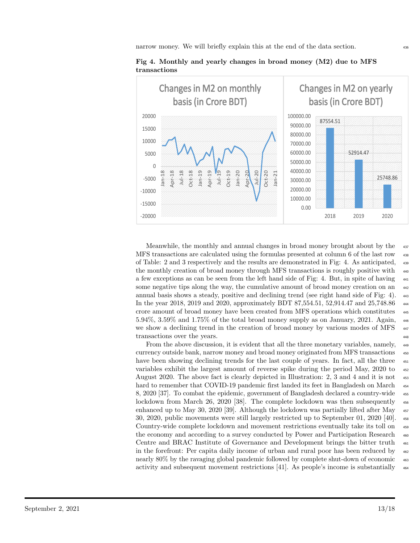

Fig 4. Monthly and yearly changes in broad money (M2) due to MFS transactions

Meanwhile, the monthly and annual changes in broad money brought about by the  $\frac{437}{437}$ MFS transactions are calculated using the formulas presented at column 6 of the last row <sup>438</sup> of Table: 2 and 3 respectively and the results are demonstrated in Fig: 4. As anticipated, <sup>439</sup> the monthly creation of broad money through MFS transactions is roughly positive with <sup>440</sup> a few exceptions as can be seen from the left hand side of Fig: 4. But, in spite of having  $_{441}$ some negative tips along the way, the cumulative amount of broad money creation on an  $_{442}$ annual basis shows a steady, positive and declining trend (see right hand side of Fig: 4).  $\mu$ 443 In the year 2018, 2019 and 2020, approximately BDT 87,554.51, 52,914.47 and 25,748.86 <sup>444</sup> crore amount of broad money have been created from MFS operations which constitutes <sup>445</sup> 5.94%, 3.59% and 1.75% of the total broad money supply as on January, 2021. Again, <sup>446</sup> we show a declining trend in the creation of broad money by various modes of MFS  $_{447}$ transactions over the years.  $\frac{448}{400}$ 

From the above discussion, it is evident that all the three monetary variables, namely, <sup>449</sup> currency outside bank, narrow money and broad money originated from MFS transactions  $450$ have been showing declining trends for the last couple of years. In fact, all the three  $\frac{451}{451}$ variables exhibit the largest amount of reverse spike during the period May, 2020 to <sup>452</sup> August 2020. The above fact is clearly depicted in Illustration: 2, 3 and 4 and it is not  $\frac{453}{453}$ hard to remember that COVID-19 pandemic first landed its feet in Bangladesh on March  $454$ 8, 2020 [37]. To combat the epidemic, government of Bangladesh declared a country-wide  $\frac{455}{455}$ lockdown from March 26, 2020 [38]. The complete lockdown was then subsequently  $_{456}$ enhanced up to May 30, 2020 [39]. Although the lockdown was partially lifted after May  $_{457}$ 30, 2020, public movements were still largely restricted up to September 01, 2020 [40]. <sup>458</sup> Country-wide complete lockdown and movement restrictions eventually take its toll on <sup>459</sup> the economy and according to a survey conducted by Power and Participation Research  $_{460}$ Centre and BRAC Institute of Governance and Development brings the bitter truth  $_{461}$ in the forefront: Per capita daily income of urban and rural poor has been reduced by  $\frac{462}{462}$ nearly 80% by the ravaging global pandemic followed by complete shut-down of economic <sup>463</sup> activity and subsequent movement restrictions [41]. As people's income is substantially <sup>464</sup>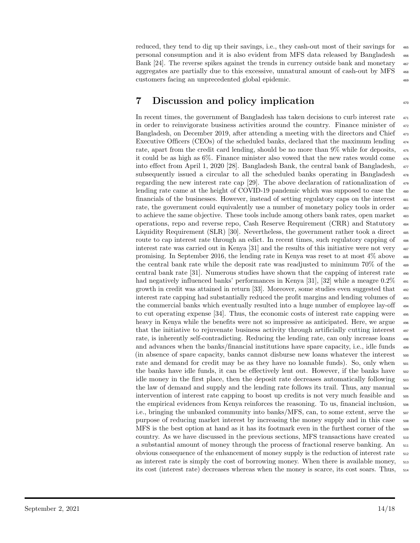reduced, they tend to dig up their savings, i.e., they cash-out most of their savings for  $\frac{465}{465}$ personal consumption and it is also evident from MFS data released by Bangladesh <sup>466</sup> Bank [24]. The reverse spikes against the trends in currency outside bank and monetary  $\frac{467}{467}$ aggregates are partially due to this excessive, unnatural amount of cash-out by MFS customers facing an unprecedented global epidemic. <sup>469</sup>

### 7 Discussion and policy implication

In recent times, the government of Bangladesh has taken decisions to curb interest rate <sup>471</sup> in order to reinvigorate business activities around the country. Finance minister of  $472$ Bangladesh, on December 2019, after attending a meeting with the directors and Chief  $\frac{473}{473}$ Executive Officers (CEOs) of the scheduled banks, declared that the maximum lending  $_{474}$ rate, apart from the credit card lending, should be no more than 9% while for deposits,  $475$ it could be as high as  $6\%$ . Finance minister also vowed that the new rates would come  $476$ into effect from April 1, 2020 [28]. Bangladesh Bank, the central bank of Bangladesh, <sup>477</sup> subsequently issued a circular to all the scheduled banks operating in Bangladesh <sup>478</sup> regarding the new interest rate cap [29]. The above declaration of rationalization of  $\frac{479}{479}$ lending rate came at the height of COVID-19 pandemic which was supposed to ease the  $\frac{480}{480}$ financials of the businesses. However, instead of setting regulatory caps on the interest <sup>481</sup> rate, the government could equivalently use a number of monetary policy tools in order  $482$ to achieve the same objective. These tools include among others bank rates, open market  $\frac{483}{100}$ operations, repo and reverse repo, Cash Reserve Requirement (CRR) and Statutory <sup>484</sup> Liquidity Requirement (SLR) [30]. Nevertheless, the government rather took a direct  $_{485}$ route to cap interest rate through an edict. In recent times, such regulatory capping of  $\frac{486}{900}$ interest rate was carried out in Kenya [31] and the results of this initiative were not very  $\frac{487}{60}$ promising. In September 2016, the lending rate in Kenya was reset to at most  $4\%$  above  $\frac{488}{9}$ the central bank rate while the deposit rate was readjusted to minimum 70% of the  $\frac{489}{489}$ central bank rate [31]. Numerous studies have shown that the capping of interest rate <sup>490</sup> had negatively influenced banks' performances in Kenya [31], [32] while a meagre 0.2%  $_{491}$ growth in credit was attained in return [33]. Moreover, some studies even suggested that  $_{492}$ interest rate capping had substantially reduced the profit margins and lending volumes of  $\frac{493}{4}$ the commercial banks which eventually resulted into a huge number of employee lay-off  $_{494}$ to cut operating expense [34]. Thus, the economic costs of interest rate capping were  $\frac{495}{495}$ heavy in Kenya while the benefits were not so impressive as anticipated. Here, we argue  $_{496}$ that the initiative to rejuvenate business activity through artificially cutting interest  $497$ rate, is inherently self-contradicting. Reducing the lending rate, can only increase loans  $\frac{498}{498}$ and advances when the banks/financial institutions have spare capacity, i.e., idle funds  $\frac{499}{4}$ (in absence of spare capacity, banks cannot disburse new loans whatever the interest  $\frac{500}{200}$ rate and demand for credit may be as they have no loanable funds). So, only when  $_{501}$ the banks have idle funds, it can be effectively lent out. However, if the banks have  $_{502}$ idle money in the first place, then the deposit rate decreases automatically following  $\frac{503}{200}$ the law of demand and supply and the lending rate follows its trail. Thus, any manual  $_{504}$ intervention of interest rate capping to boost up credits is not very much feasible and  $_{505}$ the empirical evidences from Kenya reinforces the reasoning. To us, financial inclusion,  $_{506}$ i.e., bringing the unbanked community into banks/MFS, can, to some extent, serve the  $\frac{507}{200}$ purpose of reducing market interest by increasing the money supply and in this case  $\frac{508}{200}$ MFS is the best option at hand as it has its footmark even in the furthest corner of the  $_{509}$ country. As we have discussed in the previous sections, MFS transactions have created <sup>510</sup> a substantial amount of money through the process of fractional reserve banking. An  $_{511}$ obvious consequence of the enhancement of money supply is the reduction of interest rate <sup>512</sup> as interest rate is simply the cost of borrowing money. When there is available money, <sup>513</sup> its cost (interest rate) decreases whereas when the money is scarce, its cost soars. Thus, <sup>514</sup>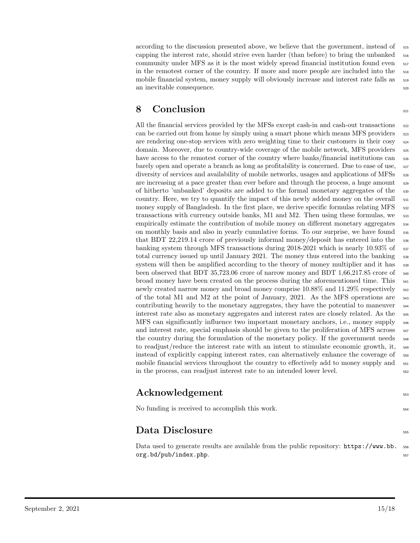according to the discussion presented above, we believe that the government, instead of  $\frac{515}{2}$ capping the interest rate, should strive even harder (than before) to bring the unbanked  $_{516}$ community under MFS as it is the most widely spread financial institution found even  $_{517}$ in the remotest corner of the country. If more and more people are included into the  $\frac{1}{518}$ mobile financial system, money supply will obviously increase and interest rate falls as <sup>519</sup> an inevitable consequence.  $\frac{520}{20}$ 

### 8 Conclusion 521

All the financial services provided by the MFSs except cash-in and cash-out transactions  $522$ can be carried out from home by simply using a smart phone which means MFS providers  $\frac{523}{2}$ are rendering one-stop services with zero weighting time to their customers in their cosy <sup>524</sup> domain. Moreover, due to country-wide coverage of the mobile network, MFS providers  $_{525}$ have access to the remotest corner of the country where banks/financial institutions can  $_{526}$ barely open and operate a branch as long as profitability is concerned. Due to ease of use,  $\frac{527}{20}$ diversity of services and availability of mobile networks, usages and applications of MFSs  $_{528}$ are increasing at a pace greater than ever before and through the process, a huge amount  $\frac{529}{20}$ of hitherto 'unbanked' deposits are added to the formal monetary aggregates of the <sup>530</sup> country. Here, we try to quantify the impact of this newly added money on the overall  $\frac{531}{531}$ money supply of Bangladesh. In the first place, we derive specific formulas relating MFS  $\frac{532}{20}$ transactions with currency outside banks, M1 and M2. Then using these formulas, we  $\frac{533}{100}$ empirically estimate the contribution of mobile money on different monetary aggregates  $\frac{534}{2}$ on monthly basis and also in yearly cumulative forms. To our surprise, we have found <sup>535</sup> that BDT 22,219.14 crore of previously informal money/deposit has entered into the <sup>536</sup> banking system through MFS transactions during 2018-2021 which is nearly  $10.93\%$  of  $\frac{537}{2}$ total currency issued up until January 2021. The money thus entered into the banking  $\frac{538}{2}$ system will then be amplified according to the theory of money multiplier and it has  $\frac{539}{2}$ been observed that BDT 35,723.06 crore of narrow money and BDT 1,66,217.85 crore of  $\frac{540}{2}$ broad money have been created on the process during the aforementioned time. This  $_{541}$ newly created narrow money and broad money comprise  $10.88\%$  and  $11.29\%$  respectively  $\frac{542}{2}$ of the total M1 and M2 at the point of January, 2021. As the MFS operations are <sup>543</sup> contributing heavily to the monetary aggregates, they have the potential to maneuver <sup>544</sup> interest rate also as monetary aggregates and interest rates are closely related. As the <sup>545</sup> MFS can significantly influence two important monetary anchors, i.e., money supply <sup>546</sup> and interest rate, special emphasis should be given to the proliferation of MFS across  $_{547}$ the country during the formulation of the monetary policy. If the government needs  $_{548}$ to readjust/reduce the interest rate with an intent to stimulate economic growth, it, <sup>549</sup> instead of explicitly capping interest rates, can alternatively enhance the coverage of  $\frac{550}{100}$ mobile financial services throughout the country to effectively add to money supply and  $\frac{551}{551}$ in the process, can readjust interest rate to an intended lower level.

### ${\bf Acknowledgement}$  553

No funding is received to accomplish this work.  $_{554}$ 

### $\mathbf{Data\; Disclosure}$

Data used to generate results are available from the public repository: https://www.bb.  $\frac{556}{100}$ org.bd/pub/index.php. 557

- 
-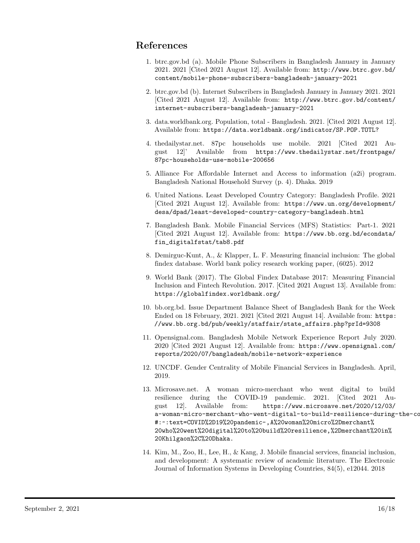### References

- 1. btrc.gov.bd (a). Mobile Phone Subscribers in Bangladesh January in January 2021. 2021 [Cited 2021 August 12]. Available from: http://www.btrc.gov.bd/ content/mobile-phone-subscribers-bangladesh-january-2021
- 2. btrc.gov.bd (b). Internet Subscribers in Bangladesh January in January 2021. 2021 [Cited 2021 August 12]. Available from: http://www.btrc.gov.bd/content/ internet-subscribers-bangladesh-january-2021
- 3. data.worldbank.org. Population, total Bangladesh. 2021. [Cited 2021 August 12]. Available from: https://data.worldbank.org/indicator/SP.POP.TOTL?
- 4. thedailystar.net. 87pc households use mobile. 2021 [Cited 2021 August 12]' Available from https://www.thedailystar.net/frontpage/ 87pc-households-use-mobile-200656
- 5. Alliance For Affordable Internet and Access to information (a2i) program. Bangladesh National Household Survey (p. 4). Dhaka. 2019
- 6. United Nations. Least Developed Country Category: Bangladesh Profile. 2021 [Cited 2021 August 12]. Available from: https://www.un.org/development/ desa/dpad/least-developed-country-category-bangladesh.html
- 7. Bangladesh Bank. Mobile Financial Services (MFS) Statistics: Part-1. 2021 [Cited 2021 August 12]. Available from: https://www.bb.org.bd/econdata/ fin\_digitalfstat/tab8.pdf
- 8. Demirguc-Kunt, A., & Klapper, L. F. Measuring financial inclusion: The global findex database. World bank policy research working paper, (6025). 2012
- 9. World Bank (2017). The Global Findex Database 2017: Measuring Financial Inclusion and Fintech Revolution. 2017. [Cited 2021 August 13]. Available from: https://globalfindex.worldbank.org/
- 10. bb.org.bd. Issue Department Balance Sheet of Bangladesh Bank for the Week Ended on 18 February, 2021. 2021 [Cited 2021 August 14]. Available from: https: //www.bb.org.bd/pub/weekly/staffair/state\_affairs.php?prId=9308
- 11. Opensignal.com. Bangladesh Mobile Network Experience Report July 2020. 2020 [Cited 2021 August 12]. Available from: https://www.opensignal.com/ reports/2020/07/bangladesh/mobile-network-experience
- 12. UNCDF. Gender Centrality of Mobile Financial Services in Bangladesh. April, 2019.
- 13. Microsave.net. A woman micro-merchant who went digital to build resilience during the COVID-19 pandemic. 2021. [Cited 2021 August 12]. Available from: https://www.microsave.net/2020/12/03/ a-woman-micro-merchant-who-went-digital-to-build-resilience-during-the-co #:~:text=COVID%2D19%20pandemic-,A%20woman%20micro%2Dmerchant% 20who%20went%20digital%20to%20build%20resilience,%2Dmerchant%20in% 20Khilgaon%2C%20Dhaka.
- 14. Kim, M., Zoo, H., Lee, H., & Kang, J. Mobile financial services, financial inclusion, and development: A systematic review of academic literature. The Electronic Journal of Information Systems in Developing Countries, 84(5), e12044. 2018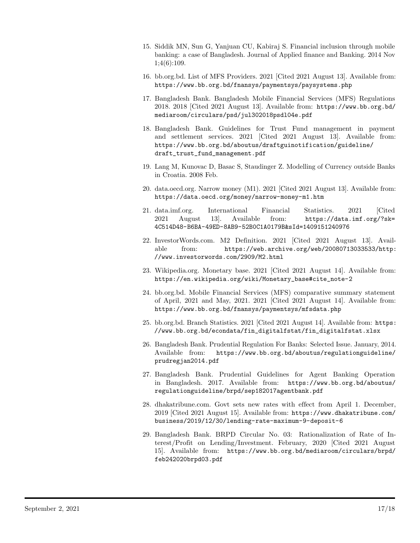- 15. Siddik MN, Sun G, Yanjuan CU, Kabiraj S. Financial inclusion through mobile banking: a case of Bangladesh. Journal of Applied finance and Banking. 2014 Nov 1;4(6):109.
- 16. bb.org.bd. List of MFS Providers. 2021 [Cited 2021 August 13]. Available from: https://www.bb.org.bd/fnansys/paymentsys/paysystems.php
- 17. Bangladesh Bank. Bangladesh Mobile Financial Services (MFS) Regulations 2018. 2018 [Cited 2021 August 13]. Available from: https://www.bb.org.bd/ mediaroom/circulars/psd/jul302018psdl04e.pdf
- 18. Bangladesh Bank. Guidelines for Trust Fund management in payment and settlement services. 2021 [Cited 2021 August 13]. Available from: https://www.bb.org.bd/aboutus/draftguinotification/guideline/ draft\_trust\_fund\_management.pdf
- 19. Lang M, Kunovac D, Basac S, Staudinger Z. Modelling of Currency outside Banks in Croatia. 2008 Feb.
- 20. data.oecd.org. Narrow money (M1). 2021 [Cited 2021 August 13]. Available from: https://data.oecd.org/money/narrow-money-m1.htm
- 21. data.imf.org. International Financial Statistics. 2021 [Cited 2021 August 13]. Available from: https://data.imf.org/?sk= 4C514D48-B6BA-49ED-8AB9-52B0C1A0179B&sId=1409151240976
- 22. InvestorWords.com. M2 Definition. 2021 [Cited 2021 August 13]. Available from: https://web.archive.org/web/20080713033533/http: //www.investorwords.com/2909/M2.html
- 23. Wikipedia.org. Monetary base. 2021 [Cited 2021 August 14]. Available from: https://en.wikipedia.org/wiki/Monetary\_base#cite\_note-2
- 24. bb.org.bd. Mobile Financial Services (MFS) comparative summary statement of April, 2021 and May, 2021. 2021 [Cited 2021 August 14]. Available from: https://www.bb.org.bd/fnansys/paymentsys/mfsdata.php
- 25. bb.org.bd. Branch Statistics. 2021 [Cited 2021 August 14]. Available from: https: //www.bb.org.bd/econdata/fin\_digitalfstat/fin\_digitalfstat.xlsx
- 26. Bangladesh Bank. Prudential Regulation For Banks: Selected Issue. January, 2014. Available from: https://www.bb.org.bd/aboutus/regulationguideline/ prudregjan2014.pdf
- 27. Bangladesh Bank. Prudential Guidelines for Agent Banking Operation in Bangladesh. 2017. Available from: https://www.bb.org.bd/aboutus/ regulationguideline/brpd/sep182017agentbank.pdf
- 28. dhakatribune.com. Govt sets new rates with effect from April 1. December, 2019 [Cited 2021 August 15]. Available from: https://www.dhakatribune.com/ business/2019/12/30/lending-rate-maximum-9-deposit-6
- 29. Bangladesh Bank. BRPD Circular No. 03: Rationalization of Rate of Interest/Profit on Lending/Investment. February, 2020 [Cited 2021 August 15]. Available from: https://www.bb.org.bd/mediaroom/circulars/brpd/ feb242020brpd03.pdf